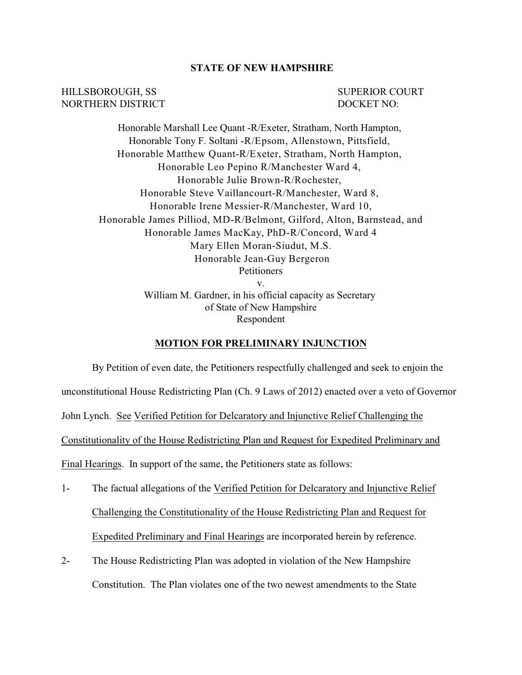## **STATE OF NEW HAMPSHIRE**

HILLSBOROUGH, SS SUPERIOR COURT NORTHERN DISTRICT DOCKET NO:

Honorable Marshall Lee Quant -R/Exeter, Stratham, North Hampton, Honorable Tony F. Soltani -R/Epsom, Allenstown, Pittsfield, Honorable Matthew Quant-R/Exeter, Stratham, North Hampton, Honorable Leo Pepino R/Manchester Ward 4, Honorable Julie Brown-R/Rochester, Honorable Steve Vaillancourt-R/Manchester, Ward 8, Honorable Irene Messier-R/Manchester, Ward 10, Honorable James Pilliod, MD-R/Belmont, Gilford, Alton, Barnstead, and Honorable James MacKay, PhD-R/Concord, Ward 4 Mary Ellen Moran-Siudut, M.S. Honorable Jean-Guy Bergeron Petitioners v. William M. Gardner, in his official capacity as Secretary

of State of New Hampshire Respondent

## **MOTION FOR PRELIMINARY INJUNCTION**

By Petition of even date, the Petitioners respectfully challenged and seek to enjoin the unconstitutional House Redistricting Plan (Ch. 9 Laws of 2012) enacted over a veto of Governor John Lynch. See Verified Petition for Delcaratory and Injunctive Relief Challenging the Constitutionality of the House Redistricting Plan and Request for Expedited Preliminary and Final Hearings. In support of the same, the Petitioners state as follows:

- 1- The factual allegations of the Verified Petition for Delcaratory and Injunctive Relief Challenging the Constitutionality of the House Redistricting Plan and Request for Expedited Preliminary and Final Hearings are incorporated herein by reference.
- 2- The House Redistricting Plan was adopted in violation of the New Hampshire Constitution. The Plan violates one of the two newest amendments to the State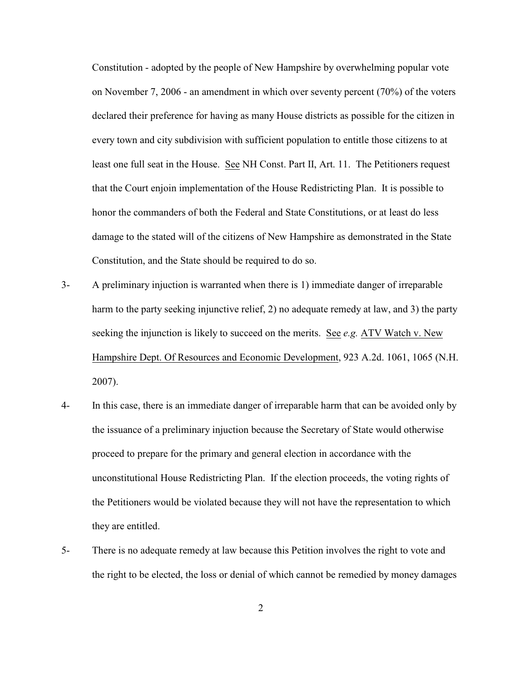Constitution - adopted by the people of New Hampshire by overwhelming popular vote on November 7, 2006 - an amendment in which over seventy percent (70%) of the voters declared their preference for having as many House districts as possible for the citizen in every town and city subdivision with sufficient population to entitle those citizens to at least one full seat in the House. See NH Const. Part II, Art. 11. The Petitioners request that the Court enjoin implementation of the House Redistricting Plan. It is possible to honor the commanders of both the Federal and State Constitutions, or at least do less damage to the stated will of the citizens of New Hampshire as demonstrated in the State Constitution, and the State should be required to do so.

- 3- A preliminary injuction is warranted when there is 1) immediate danger of irreparable harm to the party seeking injunctive relief, 2) no adequate remedy at law, and 3) the party seeking the injunction is likely to succeed on the merits. See *e.g.* ATV Watch v. New Hampshire Dept. Of Resources and Economic Development, 923 A.2d. 1061, 1065 (N.H. 2007).
- 4- In this case, there is an immediate danger of irreparable harm that can be avoided only by the issuance of a preliminary injuction because the Secretary of State would otherwise proceed to prepare for the primary and general election in accordance with the unconstitutional House Redistricting Plan. If the election proceeds, the voting rights of the Petitioners would be violated because they will not have the representation to which they are entitled.
- 5- There is no adequate remedy at law because this Petition involves the right to vote and the right to be elected, the loss or denial of which cannot be remedied by money damages

2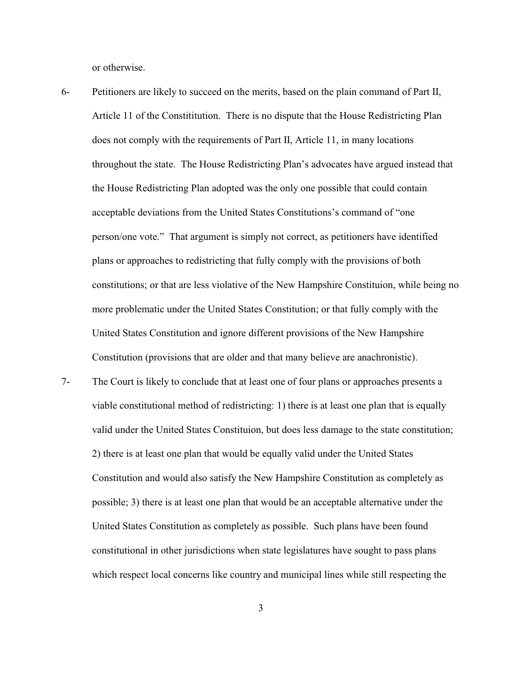or otherwise.

- 6- Petitioners are likely to succeed on the merits, based on the plain command of Part II, Article 11 of the Constititution. There is no dispute that the House Redistricting Plan does not comply with the requirements of Part II, Article 11, in many locations throughout the state. The House Redistricting Plan's advocates have argued instead that the House Redistricting Plan adopted was the only one possible that could contain acceptable deviations from the United States Constitutions's command of "one person/one vote." That argument is simply not correct, as petitioners have identified plans or approaches to redistricting that fully comply with the provisions of both constitutions; or that are less violative of the New Hampshire Constituion, while being no more problematic under the United States Constitution; or that fully comply with the United States Constitution and ignore different provisions of the New Hampshire Constitution (provisions that are older and that many believe are anachronistic).
- 7- The Court is likely to conclude that at least one of four plans or approaches presents a viable constitutional method of redistricting: 1) there is at least one plan that is equally valid under the United States Constituion, but does less damage to the state constitution; 2) there is at least one plan that would be equally valid under the United States Constitution and would also satisfy the New Hampshire Constitution as completely as possible; 3) there is at least one plan that would be an acceptable alternative under the United States Constitution as completely as possible. Such plans have been found constitutional in other jurisdictions when state legislatures have sought to pass plans which respect local concerns like country and municipal lines while still respecting the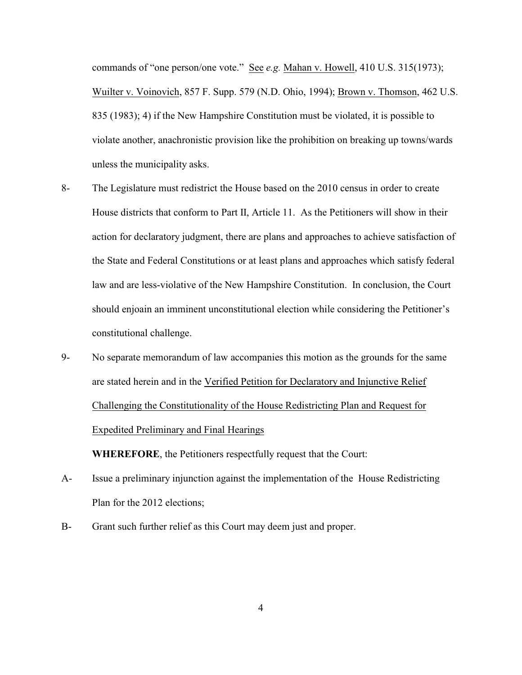commands of "one person/one vote." See *e.g.* Mahan v. Howell, 410 U.S. 315(1973); Wuilter v. Voinovich, 857 F. Supp. 579 (N.D. Ohio, 1994); Brown v. Thomson, 462 U.S. 835 (1983); 4) if the New Hampshire Constitution must be violated, it is possible to violate another, anachronistic provision like the prohibition on breaking up towns/wards unless the municipality asks.

- 8- The Legislature must redistrict the House based on the 2010 census in order to create House districts that conform to Part II, Article 11. As the Petitioners will show in their action for declaratory judgment, there are plans and approaches to achieve satisfaction of the State and Federal Constitutions or at least plans and approaches which satisfy federal law and are less-violative of the New Hampshire Constitution. In conclusion, the Court should enjoain an imminent unconstitutional election while considering the Petitioner's constitutional challenge.
- 9- No separate memorandum of law accompanies this motion as the grounds for the same are stated herein and in the Verified Petition for Declaratory and Injunctive Relief Challenging the Constitutionality of the House Redistricting Plan and Request for Expedited Preliminary and Final Hearings

**WHEREFORE**, the Petitioners respectfully request that the Court:

- A- Issue a preliminary injunction against the implementation of the House Redistricting Plan for the 2012 elections;
- B- Grant such further relief as this Court may deem just and proper.

4